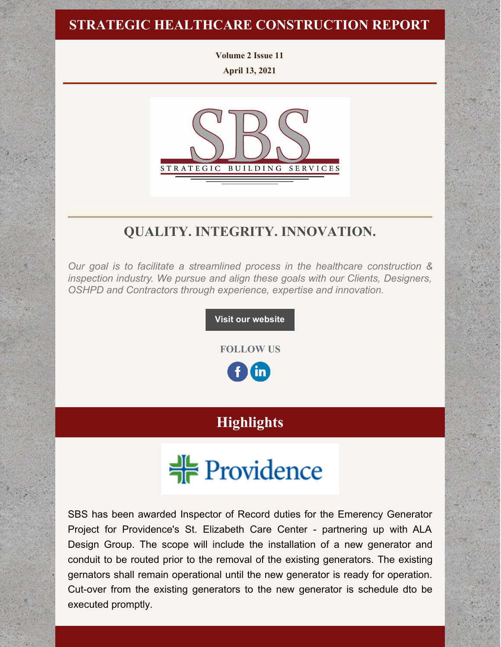## **STRATEGIC HEALTHCARE CONSTRUCTION REPORT**

**Volume 2 Issue 11 April 13, 2021**



# **QUALITY. INTEGRITY. INNOVATION.**

*Our goal is to facilitate a streamlined process in the healthcare construction & inspection industry. We pursue and align these goals with our Clients, Designers, OSHPD and Contractors through experience, expertise and innovation.*

**Visit our [website](http://www.strategic-building.com/)**

**FOLLOW US**

<u>in</u>

# **Highlights**



SBS has been awarded Inspector of Record duties for the Emerency Generator Project for Providence's St. Elizabeth Care Center - partnering up with ALA Design Group. The scope will include the installation of a new generator and conduit to be routed prior to the removal of the existing generators. The existing gernators shall remain operational until the new generator is ready for operation. Cut-over from the existing generators to the new generator is schedule dto be executed promptly.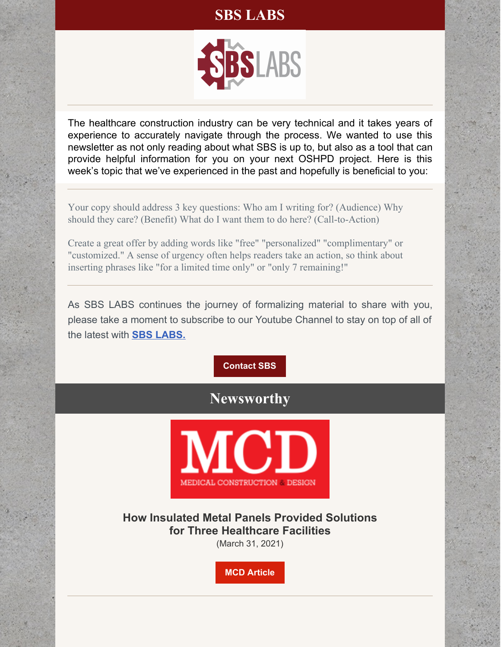# **SBS LABS**



The healthcare construction industry can be very technical and it takes years of experience to accurately navigate through the process. We wanted to use this newsletter as not only reading about what SBS is up to, but also as a tool that can provide helpful information for you on your next OSHPD project. Here is this week's topic that we've experienced in the past and hopefully is beneficial to you:

Your copy should address 3 key questions: Who am I writing for? (Audience) Why should they care? (Benefit) What do I want them to do here? (Call-to-Action)

Create a great offer by adding words like "free" "personalized" "complimentary" or "customized." A sense of urgency often helps readers take an action, so think about inserting phrases like "for a limited time only" or "only 7 remaining!"

As SBS LABS continues the journey of formalizing material to share with you, please take a moment to subscribe to our Youtube Channel to stay on top of all of the latest with **SBS [LABS.](https://www.youtube.com/channel/UCfR7qiqf9X9tzNf1jD-an_Q)**

**[Contact](http://www.strategic-building.com/contacts) SBS**

# **Newsworthy**



**How Insulated Metal Panels Provided Solutions for Three Healthcare Facilities**

(March 31, 2021)

**MCD [Article](https://mcdmag.com/2021/03/how-insulated-metal-panels-provided-solutions-for-three-healthcare-facilities/#.YHSxr-hKjRY)**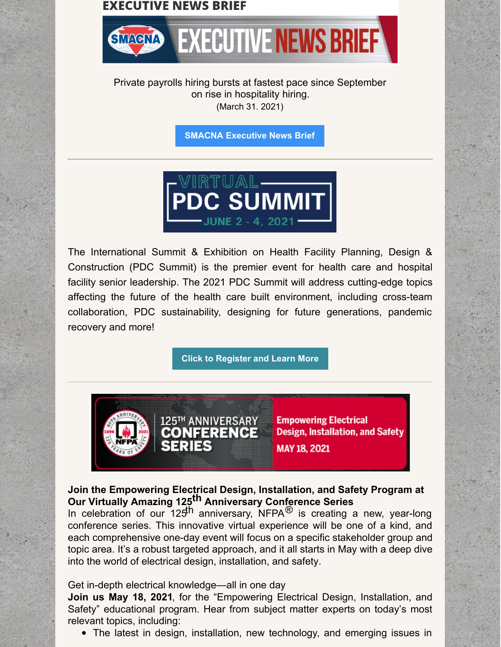#### **EXECUTIVE NEWS BRIEF**



Private payrolls hiring bursts at fastest pace since September on rise in hospitality hiring. (March 31. 2021)

**SMACNA [Executive](https://www.cnbc.com/2021/03/31/adp-private-payrolls-march-2021.html) News Brief**



The International Summit & Exhibition on Health Facility Planning, Design & Construction (PDC Summit) is the premier event for health care and hospital facility senior leadership. The 2021 PDC Summit will address cutting-edge topics affecting the future of the health care built environment, including cross-team collaboration, PDC sustainability, designing for future generations, pandemic recovery and more!

**Click to [Register](https://web.cvent.com/event/ed8bcd2f-2283-4db0-8513-295cf79b53d3/websitePage:d584bcc9-70a3-4594-9cfe-a2c39de5cc17) and Learn More**



#### **Join the Empowering Electrical Design, Installation, and Safety Program at Our Virtually Amazing 125 th Anniversary Conference Series**

In celebration of our  $125$ <sup>th</sup> anniversary, NFPA<sup>®</sup> is creating a new, year-long conference series. This innovative virtual experience will be one of a kind, and each comprehensive one-day event will focus on a specific stakeholder group and topic area. It's a robust targeted approach, and it all starts in May with a deep dive into the world of electrical design, installation, and safety.

Get in-depth electrical knowledge—all in one day

**Join us May 18, 2021**, for the "Empowering Electrical Design, Installation, and Safety" educational program. Hear from subject matter experts on today's most relevant topics, including:

The latest in design, installation, new technology, and emerging issues in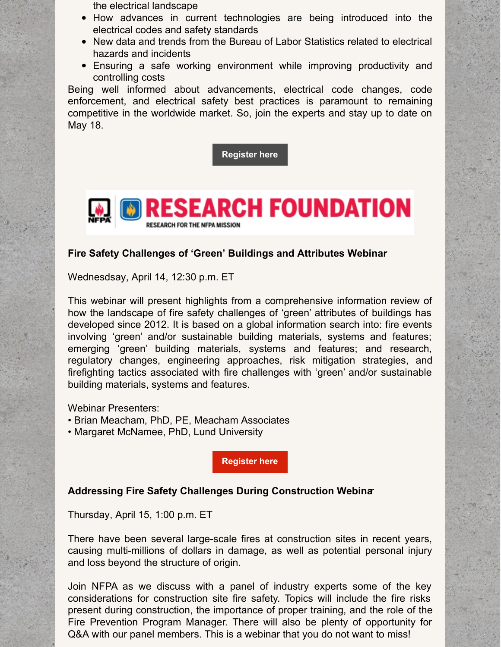the electrical landscape

- How advances in current technologies are being introduced into the electrical codes and safety standards
- New data and trends from the Bureau of Labor Statistics related to electrical hazards and incidents
- Ensuring a safe working environment while improving productivity and controlling costs

Being well informed about advancements, electrical code changes, code enforcement, and electrical safety best practices is paramount to remaining competitive in the worldwide market. So, join the experts and stay up to date on May 18.

**[Register](https://www.nfpa.org/Electrical-track) here**



#### **Fire Safety Challenges of 'Green' Buildings and Attributes Webinar**

Wednesdsay, April 14, 12:30 p.m. ET

This webinar will present highlights from a comprehensive information review of how the landscape of fire safety challenges of 'green' attributes of buildings has developed since 2012. It is based on a global information search into: fire events involving 'green' and/or sustainable building materials, systems and features; emerging 'green' building materials, systems and features; and research, regulatory changes, engineering approaches, risk mitigation strategies, and firefighting tactics associated with fire challenges with 'green' and/or sustainable building materials, systems and features.

Webinar Presenters:

- Brian Meacham, PhD, PE, Meacham Associates
- Margaret McNamee, PhD, Lund University

**[Register](https://nfpa-org.zoom.us/webinar/register/WN_dYrwMCD2QbqrENYX4QFobg?utm_source=emil&utm_medium=email_medium&utm_campaign=emil0350&utm_content=xcat&order_src=e825&mi_u=%7BFC660E87-A9D8-4443-83E7-58139898A3BB%7D) here**

#### **Addressing Fire Safety Challenges During Construction Webina**r

Thursday, April 15, 1:00 p.m. ET

There have been several large-scale fires at construction sites in recent years, causing multi-millions of dollars in damage, as well as potential personal injury and loss beyond the structure of origin.

Join NFPA as we discuss with a panel of industry experts some of the key considerations for construction site fire safety. Topics will include the fire risks present during construction, the importance of proper training, and the role of the Fire Prevention Program Manager. There will also be plenty of opportunity for Q&A with our panel members. This is a webinar that you do not want to miss!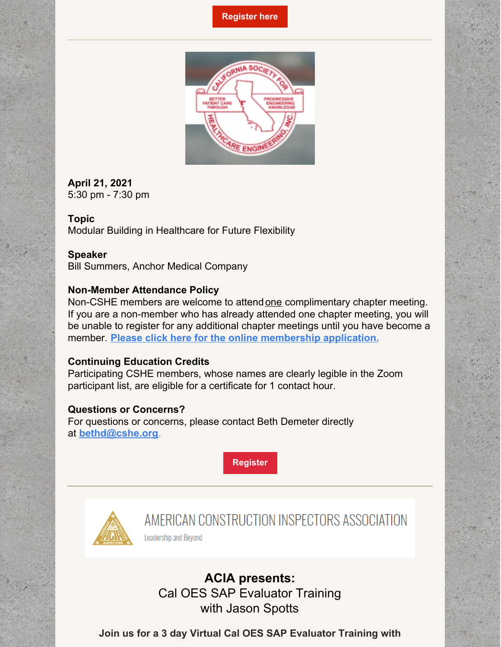#### **[Register](https://nfpa-org.zoom.us/webinar/register/3816130694048/WN_LtwfWdDzT-KfVxMKjW_MsA?utm_source=emil&utm_medium=email_medium&utm_campaign=emil0350&utm_content=xcat&order_src=e825&mi_u=%7BFC660E87-A9D8-4443-83E7-58139898A3BB%7D) here**



#### **April 21, 2021** 5:30 pm - 7:30 pm

**Topic** Modular Building in Healthcare for Future Flexibility

#### **Speaker**

Bill Summers, Anchor Medical Company

#### **Non-Member Attendance Policy**

Non-CSHE members are welcome to attendone complimentary chapter meeting. If you are a non-member who has already attended one chapter meeting, you will be unable to register for any additional chapter meetings until you have become a member. **Please click here for the online [membership](http://www.cshe.org/CSHEMEMBER/Membership/BecomeMember/CSHEMEMBER/Online-Join/Membership-Landing.aspx?hkey=08a11e97-0ce8-4135-bc0e-5a7211cb24b5) application.**

#### **Continuing Education Credits**

Participating CSHE members, whose names are clearly legible in the Zoom participant list, are eligible for a certificate for 1 contact hour.

#### **Questions or Concerns?**

For questions or concerns, please contact Beth Demeter directly at **[bethd@cshe.org](mailto:bethd@cshe.org)**.

**[Register](https://zoom.us/meeting/register/tJElduyrrTIsGtzlKLra2_EUZb032008hi7N)**



AMERICAN CONSTRUCTION INSPECTORS ASSOCIATION

Leadership and Beyond

**ACIA presents:** Cal OES SAP Evaluator Training with Jason Spotts

**Join us for a 3 day Virtual Cal OES SAP Evaluator Training with**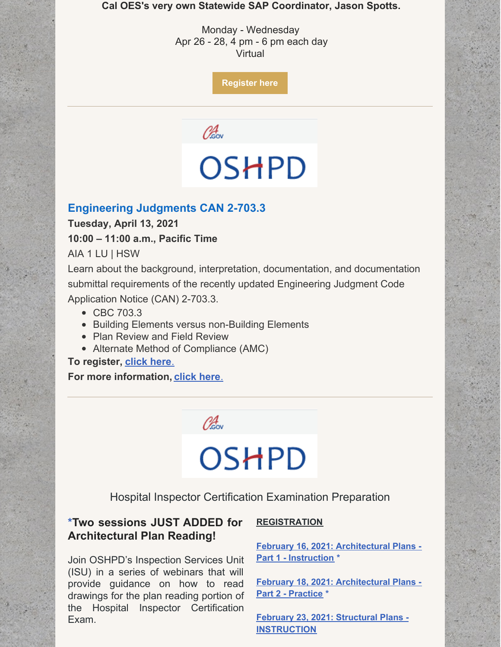**Cal OES's very own Statewide SAP Coordinator, Jason Spotts.**

Monday - Wednesday Apr 26 - 28, 4 pm - 6 pm each day Virtual

**[Register](https://www.acia.com/events-1/acia-presents-cal-oes-sap-evaluator-training-with-jason-spotts) here**

Obsov

# OSHPD

#### **Engineering Judgments CAN 2-703.3**

**Tuesday, April 13, 2021**

**10:00 – 11:00 a.m., Pacific Time**

AIA 1 LU | HSW

Learn about the background, interpretation, documentation, and documentation submittal requirements of the recently updated Engineering Judgment Code Application Notice (CAN) 2-703.3.

- CBC 703.3
- Building Elements versus non-Building Elements
- Plan Review and Field Review
- Alternate Method of Compliance (AMC)

**To register, [click](https://attendee.gotowebinar.com/register/5722427372000708108) here**.

**For more information[,](https://oshpd.ca.gov/document/bsu-webinar-flyer-engineering-judgements-can-2-703-3/) [click](https://oshpd.ca.gov/document/bsu-webinar-flyer-engineering-judgements-can-2-703-3/) here**.



# OSHPD

Hospital Inspector Certification Examination Preparation

### **\*Two sessions JUST ADDED for Architectural Plan Reading!**

Join OSHPD's Inspection Services Unit (ISU) in a series of webinars that will provide guidance on how to read drawings for the plan reading portion of the Hospital Inspector Certification Exam.

#### **REGISTRATION**

**[February](https://oshpd.us3.list-manage.com/track/click?u=b5eac4ceeea1d878cfffc1696&id=5f17665187&e=bf3938caab) 16, 2021: Architectural Plans - Part 1 - Instruction \***

**[February](https://oshpd.us3.list-manage.com/track/click?u=b5eac4ceeea1d878cfffc1696&id=0955b8ca65&e=bf3938caab) 18, 2021: Architectural Plans - Part 2 - Practice \***

**February 23, 2021: Structural Plans - [INSTRUCTION](https://oshpd.us3.list-manage.com/track/click?u=b5eac4ceeea1d878cfffc1696&id=f4d49de2e3&e=bf3938caab)**